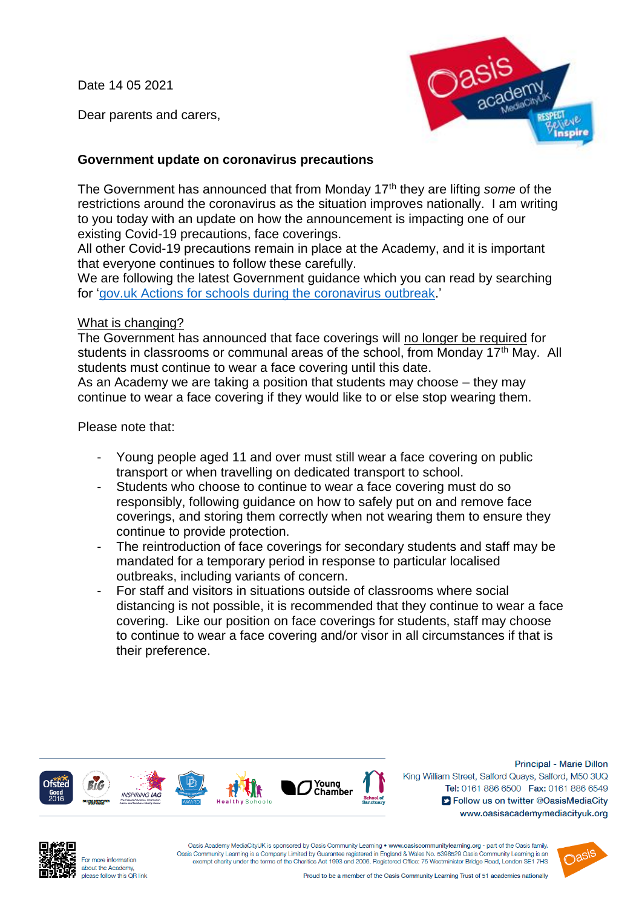Date 14 05 2021

Dear parents and carers,



## **Government update on coronavirus precautions**

The Government has announced that from Monday 17th they are lifting *some* of the restrictions around the coronavirus as the situation improves nationally. I am writing to you today with an update on how the announcement is impacting one of our existing Covid-19 precautions, face coverings.

All other Covid-19 precautions remain in place at the Academy, and it is important that everyone continues to follow these carefully.

We are following the latest Government guidance which you can read by searching for ['gov.uk Actions for schools during the coronavirus outbreak.](https://www.gov.uk/government/publications/actions-for-schools-during-the-coronavirus-outbreak)'

## What is changing?

The Government has announced that face coverings will no longer be required for students in classrooms or communal areas of the school, from Monday 17<sup>th</sup> May. All students must continue to wear a face covering until this date.

As an Academy we are taking a position that students may choose – they may continue to wear a face covering if they would like to or else stop wearing them.

Please note that:

- Young people aged 11 and over must still wear a face covering on public transport or when travelling on dedicated transport to school.
- Students who choose to continue to wear a face covering must do so responsibly, following guidance on how to safely put on and remove face coverings, and storing them correctly when not wearing them to ensure they continue to provide protection.
- The reintroduction of face coverings for secondary students and staff may be mandated for a temporary period in response to particular localised outbreaks, including variants of concern.
- For staff and visitors in situations outside of classrooms where social distancing is not possible, it is recommended that they continue to wear a face covering. Like our position on face coverings for students, staff may choose to continue to wear a face covering and/or visor in all circumstances if that is their preference.



Principal - Marie Dillon King William Street, Salford Quays, Salford, M50 3UQ Tel: 0161 886 6500 Fax: 0161 886 6549 S Follow us on twitter @OasisMediaCity www.oasisacademymediacityuk.org



For more information about the Academy, please follow this OR link

Oasis Academy MediaCityUK is sponsored by Oasis Community Learning . www.oasiscommunitylearning.org - part of the Oasis family. Oasis Community Learning is a Company Limited by Guarantee registered in England & Wales No. 5398529 Oasis Community Learning is an exempt charity under the terms of the Charities Act 1993 and 2006. Registered Office: 75 Westminister Bridge Road, London SE1 7HS